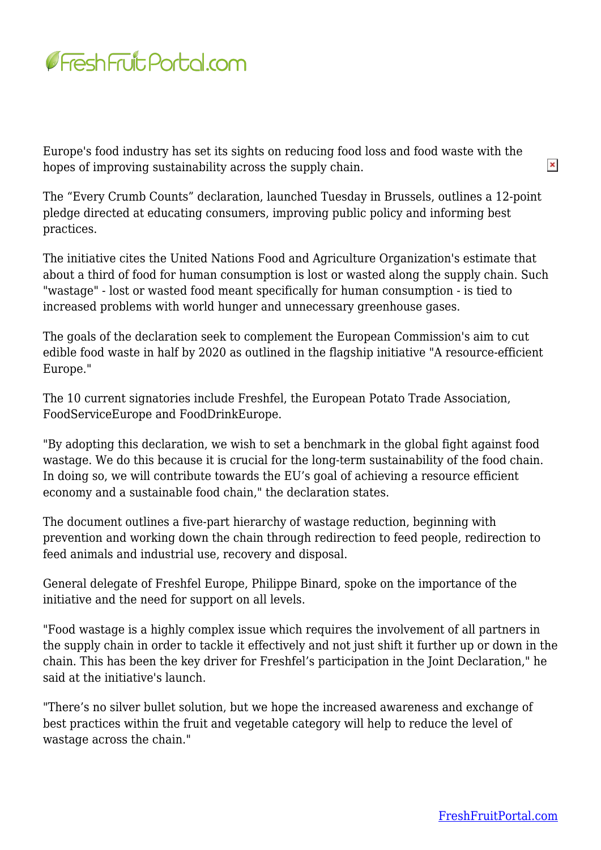

Europe's food industry has set its sights on reducing food loss and food waste with the hopes of improving sustainability across the supply chain.

The "Every Crumb Counts" declaration, launched Tuesday in Brussels, outlines a 12-point pledge directed at educating consumers, improving public policy and informing best practices.

The initiative cites the United Nations Food and Agriculture Organization's estimate that about a third of food for human consumption is lost or wasted along the supply chain. Such "wastage" - lost or wasted food meant specifically for human consumption - is tied to increased problems with world hunger and unnecessary greenhouse gases.

The goals of the declaration seek to complement the European Commission's aim to cut edible food waste in half by 2020 as outlined in the flagship initiative "A resource-efficient Europe."

The 10 current signatories include Freshfel, the European Potato Trade Association, FoodServiceEurope and FoodDrinkEurope.

"By adopting this declaration, we wish to set a benchmark in the global fight against food wastage. We do this because it is crucial for the long-term sustainability of the food chain. In doing so, we will contribute towards the EU's goal of achieving a resource efficient economy and a sustainable food chain," the declaration states.

The document outlines a five-part hierarchy of wastage reduction, beginning with prevention and working down the chain through redirection to feed people, redirection to feed animals and industrial use, recovery and disposal.

General delegate of Freshfel Europe, Philippe Binard, spoke on the importance of the initiative and the need for support on all levels.

"Food wastage is a highly complex issue which requires the involvement of all partners in the supply chain in order to tackle it effectively and not just shift it further up or down in the chain. This has been the key driver for Freshfel's participation in the Joint Declaration," he said at the initiative's launch.

"There's no silver bullet solution, but we hope the increased awareness and exchange of best practices within the fruit and vegetable category will help to reduce the level of wastage across the chain."

 $\pmb{\times}$